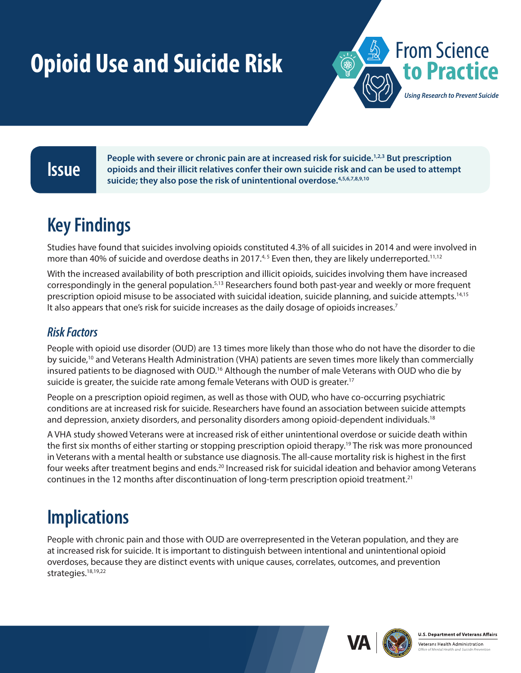# <span id="page-0-0"></span>**Opioid Use and Suicide Risk From Science**



**People with severe or chronic pain are at increased risk for suicide.**<sup>[1,2,3](#page-1-0)</sup> But prescription opioids and their illicit relatives confer their own suicide risk and can be used to attempt *cuicide*: they also nese the ris People with severe or chronic pain are at increased risk for suicide.<sup>1,2,3</sup> But prescription **suicide; they also pose the risk of unintentional overdose[.4,5,6,7,8,9,10](#page-1-0)**

# **Key Findings**

Studies have found that suicides involving opioids constituted 4.3% of all suicides in 2014 and were involved in more than 40% of suicide and overdose deaths in 2017.<sup>[4,](#page-1-1)[5](#page-1-2)</sup> Even then, they are likely underreported.<sup>11,12</sup>

With the increased availability of both prescription and illicit opioids, suicides involving them have increased correspondingly in the general population.<sup>[5](#page-1-2),13</sup> Researchers found both past-year and weekly or more frequent prescription opioid misuse to be associated with suicidal ideation, suicide planning, and suicide attempts[.14,15](#page-1-0) It also appears that one's risk for suicide increases as the daily dosage of opioids increases.<sup>7</sup>

### *Risk Factors*

People with opioid use disorder (OUD) are 13 times more likely than those who do not have the disorder to die by suicide[,10](#page-1-4) and Veterans Health Administration (VHA) patients are seven times more likely than commercially insured patients to be diagnosed with OUD.<sup>16</sup> Although the number of male Veterans with OUD who die by suicide is greater, the suicide rate among female Veterans with OUD is greater.<sup>17</sup>

People on a prescription opioid regimen, as well as those with OUD, who have co-occurring psychiatric conditions are at increased risk for suicide. Researchers have found an association between suicide attempts and depression, anxiety disorders, and personality disorders among opioid-dependent individuals.<sup>18</sup>

A VHA study showed Veterans were at increased risk of either unintentional overdose or suicide death within the first six months of either starting or stopping prescription opioid therapy[.19](#page-1-0) The risk was more pronounced in Veterans with a mental health or substance use diagnosis. The all-cause mortality risk is highest in the first four weeks after treatment begins and ends.<sup>[20](#page-1-0)</sup> Increased risk for suicidal ideation and behavior among Veterans continues in the 12 months after discontinuation of long-term prescription opioid treatment.[21](#page-1-0)

# **Implications**

People with chronic pain and those with OUD are overrepresented in the Veteran population, and they are at increased risk for suicide. It is important to distinguish between intentional and unintentional opioid overdoses, because they are distinct events with unique causes, correlates, outcomes, and prevention strategies.<sup>18[,](#page-1-0)[19](#page-1-6)[,22](#page-1-0)</sup>





Veterans Health Administration